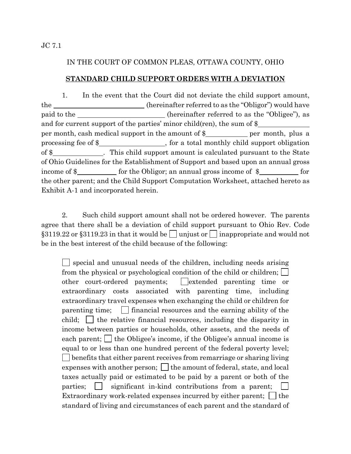JC 7.1

### IN THE COURT OF COMMON PLEAS, OTTAWA COUNTY, OHIO

### **STANDARD CHILD SUPPORT ORDERS WITH A DEVIATION**

1. In the event that the Court did not deviate the child support amount, the \_\_\_\_\_\_\_\_\_\_\_\_\_\_\_\_\_\_\_\_\_\_(hereinafter referred to as the "Obligor") would have paid to the (hereinafter referred to as the "Obligee"), as and for current support of the parties' minor child(ren), the sum of \$ per month, cash medical support in the amount of  $\frac{1}{2}$  per month, plus a processing fee of \$\_\_\_\_\_\_\_\_\_\_\_\_\_\_\_\_\_, for a total monthly child support obligation of \$\_\_\_\_\_\_\_\_\_\_\_\_\_. This child support amount is calculated pursuant to the State of Ohio Guidelines for the Establishment of Support and based upon an annual gross income of  $\frac{1}{2}$  for the Obligor; an annual gross income of  $\frac{1}{2}$  for the other parent; and the Child Support Computation Worksheet, attached hereto as Exhibit A-1 and incorporated herein.

 2. Such child support amount shall not be ordered however. The parents agree that there shall be a deviation of child support pursuant to Ohio Rev. Code §3119.22 or §3119.23 in that it would be unjust or inappropriate and would not be in the best interest of the child because of the following:

 $\Box$  special and unusual needs of the children, including needs arising from the physical or psychological condition of the child or children; other court-ordered payments;  $\Box$  extended parenting time or extraordinary costs associated with parenting time, including extraordinary travel expenses when exchanging the child or children for parenting time;  $\Box$  financial resources and the earning ability of the child;  $\Box$  the relative financial resources, including the disparity in income between parties or households, other assets, and the needs of each parent;  $\Box$  the Obligee's income, if the Obligee's annual income is equal to or less than one hundred percent of the federal poverty level; benefits that either parent receives from remarriage or sharing living expenses with another person;  $\Box$  the amount of federal, state, and local taxes actually paid or estimated to be paid by a parent or both of the parties;  $\Box$  significant in-kind contributions from a parent; Extraordinary work-related expenses incurred by either parent;  $\Box$  the standard of living and circumstances of each parent and the standard of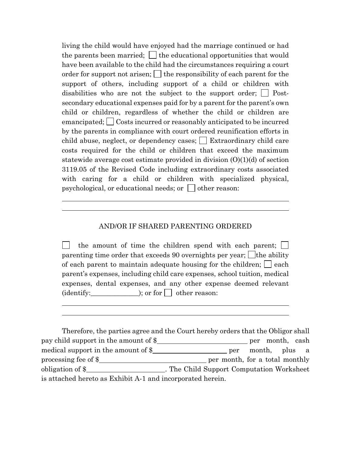living the child would have enjoyed had the marriage continued or had the parents been married;  $\vert \cdot \vert$  the educational opportunities that would have been available to the child had the circumstances requiring a court order for support not arisen;  $\Box$  the responsibility of each parent for the support of others, including support of a child or children with disabilities who are not the subject to the support order;  $\Box$  Postsecondary educational expenses paid for by a parent for the parent's own child or children, regardless of whether the child or children are emancipated; Costs incurred or reasonably anticipated to be incurred by the parents in compliance with court ordered reunification efforts in child abuse, neglect, or dependency cases;  $\Box$  Extraordinary child care costs required for the child or children that exceed the maximum statewide average cost estimate provided in division (O)(1)(d) of section 3119.05 of the Revised Code including extraordinary costs associated with caring for a child or children with specialized physical, psychological, or educational needs; or  $\Box$  other reason:

#### AND/OR IF SHARED PARENTING ORDERED

 $\overline{a}$ l

l l

the amount of time the children spend with each parent; parenting time order that exceeds 90 overnights per year;  $\Box$  the ability of each parent to maintain adequate housing for the children;  $\Box$  each parent's expenses, including child care expenses, school tuition, medical expenses, dental expenses, and any other expense deemed relevant  $(identity:$   $\qquad \qquad$   $\qquad$   $\qquad$   $\qquad$   $\qquad$  other reason:

Therefore, the parties agree and the Court hereby orders that the Obligor shall pay child support in the amount of  $\frac{1}{2}$  per month, cash medical support in the amount of \$ per month, plus a processing fee of \$ per month, for a total monthly obligation of \$ is attached hereto as Exhibit A-1 and incorporated herein.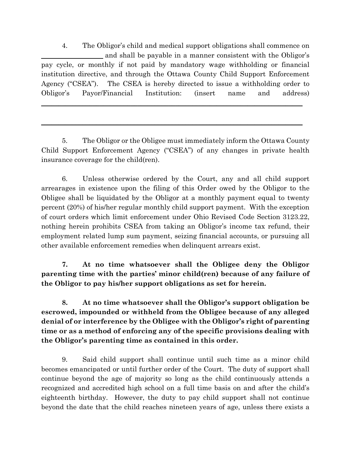4. The Obligor's child and medical support obligations shall commence on and shall be payable in a manner consistent with the Obligor's pay cycle, or monthly if not paid by mandatory wage withholding or financial institution directive, and through the Ottawa County Child Support Enforcement Agency ("CSEA"). The CSEA is hereby directed to issue a withholding order to Obligor's Payor/Financial Institution: (insert name and address)

\_\_\_\_\_\_\_\_\_\_\_\_\_\_\_\_\_\_\_\_\_\_\_\_\_\_\_\_\_\_\_\_\_\_\_\_\_\_\_\_\_\_\_\_\_\_\_\_\_\_\_\_\_\_\_\_\_\_\_\_\_\_\_\_\_\_\_\_\_\_\_\_\_\_\_\_

 $\frac{1}{2}$  ,  $\frac{1}{2}$  ,  $\frac{1}{2}$  ,  $\frac{1}{2}$  ,  $\frac{1}{2}$  ,  $\frac{1}{2}$  ,  $\frac{1}{2}$  ,  $\frac{1}{2}$  ,  $\frac{1}{2}$  ,  $\frac{1}{2}$  ,  $\frac{1}{2}$  ,  $\frac{1}{2}$  ,  $\frac{1}{2}$  ,  $\frac{1}{2}$  ,  $\frac{1}{2}$  ,  $\frac{1}{2}$  ,  $\frac{1}{2}$  ,  $\frac{1}{2}$  ,  $\frac{1$ 

5. The Obligor or the Obligee must immediately inform the Ottawa County Child Support Enforcement Agency ("CSEA") of any changes in private health insurance coverage for the child(ren).

6. Unless otherwise ordered by the Court, any and all child support arrearages in existence upon the filing of this Order owed by the Obligor to the Obligee shall be liquidated by the Obligor at a monthly payment equal to twenty percent (20%) of his/her regular monthly child support payment. With the exception of court orders which limit enforcement under Ohio Revised Code Section 3123.22, nothing herein prohibits CSEA from taking an Obligor's income tax refund, their employment related lump sum payment, seizing financial accounts, or pursuing all other available enforcement remedies when delinquent arrears exist.

**7. At no time whatsoever shall the Obligee deny the Obligor parenting time with the parties' minor child(ren) because of any failure of the Obligor to pay his/her support obligations as set for herein.** 

**8. At no time whatsoever shall the Obligor's support obligation be escrowed, impounded or withheld from the Obligee because of any alleged denial of or interference by the Obligee with the Obligor's right of parenting time or as a method of enforcing any of the specific provisions dealing with the Obligor's parenting time as contained in this order.** 

9. Said child support shall continue until such time as a minor child becomes emancipated or until further order of the Court. The duty of support shall continue beyond the age of majority so long as the child continuously attends a recognized and accredited high school on a full time basis on and after the child's eighteenth birthday. However, the duty to pay child support shall not continue beyond the date that the child reaches nineteen years of age, unless there exists a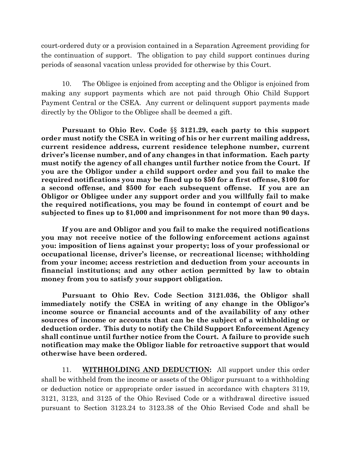court-ordered duty or a provision contained in a Separation Agreement providing for the continuation of support. The obligation to pay child support continues during periods of seasonal vacation unless provided for otherwise by this Court.

10. The Obligee is enjoined from accepting and the Obligor is enjoined from making any support payments which are not paid through Ohio Child Support Payment Central or the CSEA. Any current or delinquent support payments made directly by the Obligor to the Obligee shall be deemed a gift.

**Pursuant to Ohio Rev. Code** §§ **3121.29, each party to this support order must notify the CSEA in writing of his or her current mailing address, current residence address, current residence telephone number, current driver's license number, and of any changes in that information. Each party must notify the agency of all changes until further notice from the Court. If you are the Obligor under a child support order and you fail to make the required notifications you may be fined up to \$50 for a first offense, \$100 for a second offense, and \$500 for each subsequent offense. If you are an Obligor or Obligee under any support order and you willfully fail to make the required notifications, you may be found in contempt of court and be subjected to fines up to \$1,000 and imprisonment for not more than 90 days.** 

**If you are and Obligor and you fail to make the required notifications you may not receive notice of the following enforcement actions against you: imposition of liens against your property; loss of your professional or occupational license, driver's license, or recreational license; withholding from your income; access restriction and deduction from your accounts in financial institutions; and any other action permitted by law to obtain money from you to satisfy your support obligation.** 

**Pursuant to Ohio Rev. Code Section 3121.036, the Obligor shall immediately notify the CSEA in writing of any change in the Obligor's income source or financial accounts and of the availability of any other sources of income or accounts that can be the subject of a withholding or deduction order. This duty to notify the Child Support Enforcement Agency shall continue until further notice from the Court. A failure to provide such notification may make the Obligor liable for retroactive support that would otherwise have been ordered.** 

11. **WITHHOLDING AND DEDUCTION:** All support under this order shall be withheld from the income or assets of the Obligor pursuant to a withholding or deduction notice or appropriate order issued in accordance with chapters 3119, 3121, 3123, and 3125 of the Ohio Revised Code or a withdrawal directive issued pursuant to Section 3123.24 to 3123.38 of the Ohio Revised Code and shall be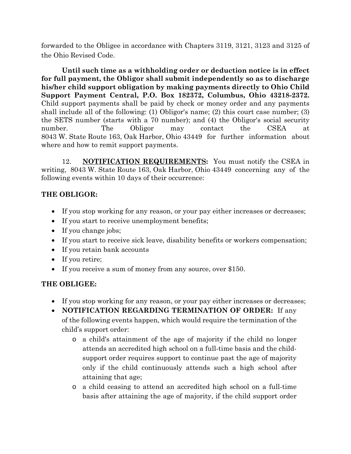forwarded to the Obligee in accordance with Chapters 3119, 3121, 3123 and 3125 of the Ohio Revised Code.

**Until such time as a withholding order or deduction notice is in effect for full payment, the Obligor shall submit independently so as to discharge his/her child support obligation by making payments directly to Ohio Child Support Payment Central, P.O. Box 182372, Columbus, Ohio 43218-2372.** Child support payments shall be paid by check or money order and any payments shall include all of the following: (1) Obligor's name; (2) this court case number; (3) the SETS number (starts with a 70 number); and (4) the Obligor's social security number. The Obligor may contact the CSEA at 8043 W. State Route 163, Oak Harbor, Ohio 43449 for further information about where and how to remit support payments.

12. **NOTIFICATION REQUIREMENTS:** You must notify the CSEA in writing, 8043 W. State Route 163, Oak Harbor, Ohio 43449 concerning any of the following events within 10 days of their occurrence:

# **THE OBLIGOR:**

- If you stop working for any reason, or your pay either increases or decreases;
- If you start to receive unemployment benefits;
- If you change jobs;
- If you start to receive sick leave, disability benefits or workers compensation;
- If you retain bank accounts
- If you retire;
- If you receive a sum of money from any source, over \$150.

# **THE OBLIGEE:**

- If you stop working for any reason, or your pay either increases or decreases;
- **NOTIFICATION REGARDING TERMINATION OF ORDER:** If any of the following events happen, which would require the termination of the child's support order:
	- o a child's attainment of the age of majority if the child no longer attends an accredited high school on a full-time basis and the childsupport order requires support to continue past the age of majority only if the child continuously attends such a high school after attaining that age;
	- o a child ceasing to attend an accredited high school on a full-time basis after attaining the age of majority, if the child support order